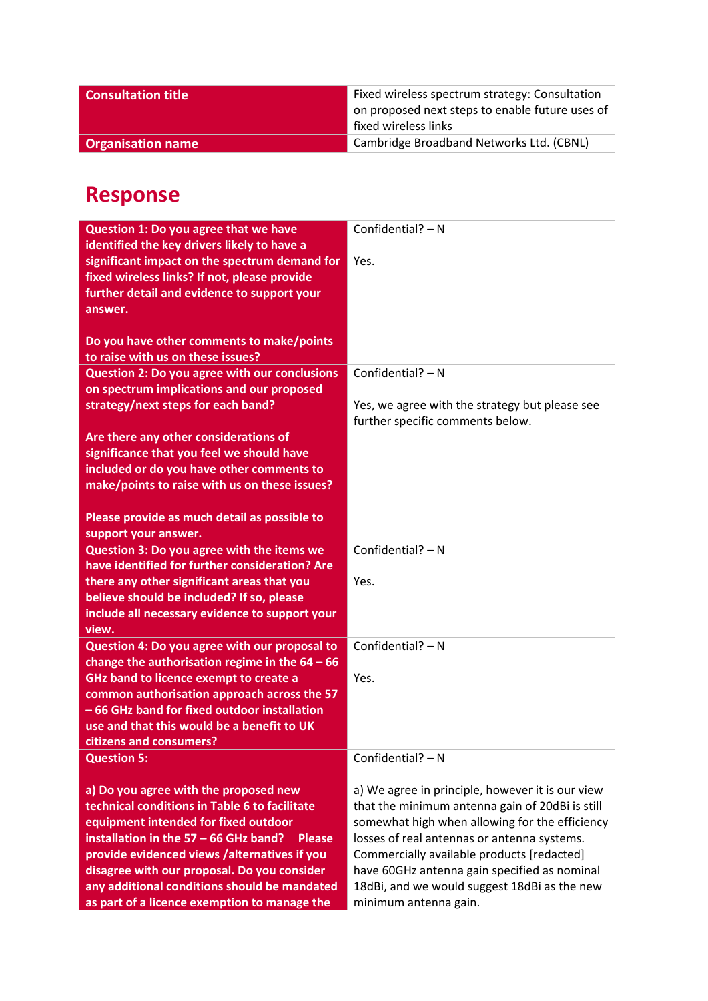| <b>Consultation title</b> | Fixed wireless spectrum strategy: Consultation<br>on proposed next steps to enable future uses of |
|---------------------------|---------------------------------------------------------------------------------------------------|
|                           | fixed wireless links                                                                              |
| <b>Organisation name</b>  | Cambridge Broadband Networks Ltd. (CBNL)                                                          |

## **Response**

| Question 1: Do you agree that we have                  | Confidential? - N                                |
|--------------------------------------------------------|--------------------------------------------------|
| identified the key drivers likely to have a            |                                                  |
| significant impact on the spectrum demand for          | Yes.                                             |
| fixed wireless links? If not, please provide           |                                                  |
|                                                        |                                                  |
| further detail and evidence to support your            |                                                  |
| answer.                                                |                                                  |
|                                                        |                                                  |
| Do you have other comments to make/points              |                                                  |
| to raise with us on these issues?                      |                                                  |
| <b>Question 2: Do you agree with our conclusions</b>   | Confidential? $- N$                              |
| on spectrum implications and our proposed              |                                                  |
| strategy/next steps for each band?                     | Yes, we agree with the strategy but please see   |
|                                                        |                                                  |
|                                                        | further specific comments below.                 |
| Are there any other considerations of                  |                                                  |
| significance that you feel we should have              |                                                  |
| included or do you have other comments to              |                                                  |
| make/points to raise with us on these issues?          |                                                  |
|                                                        |                                                  |
| Please provide as much detail as possible to           |                                                  |
| support your answer.                                   |                                                  |
| Question 3: Do you agree with the items we             | Confidential? $- N$                              |
| have identified for further consideration? Are         |                                                  |
|                                                        |                                                  |
| there any other significant areas that you             | Yes.                                             |
| believe should be included? If so, please              |                                                  |
| include all necessary evidence to support your         |                                                  |
| view.                                                  |                                                  |
| Question 4: Do you agree with our proposal to          | Confidential? $- N$                              |
| change the authorisation regime in the $64 - 66$       |                                                  |
| GHz band to licence exempt to create a                 | Yes.                                             |
| common authorisation approach across the 57            |                                                  |
| -66 GHz band for fixed outdoor installation            |                                                  |
| use and that this would be a benefit to UK             |                                                  |
| citizens and consumers?                                |                                                  |
|                                                        | Confidential? - N                                |
| <b>Question 5:</b>                                     |                                                  |
|                                                        |                                                  |
| a) Do you agree with the proposed new                  | a) We agree in principle, however it is our view |
| technical conditions in Table 6 to facilitate          | that the minimum antenna gain of 20dBi is still  |
| equipment intended for fixed outdoor                   | somewhat high when allowing for the efficiency   |
| installation in the 57 - 66 GHz band?<br><b>Please</b> | losses of real antennas or antenna systems.      |
| provide evidenced views /alternatives if you           | Commercially available products [redacted]       |
| disagree with our proposal. Do you consider            | have 60GHz antenna gain specified as nominal     |
| any additional conditions should be mandated           | 18dBi, and we would suggest 18dBi as the new     |
| as part of a licence exemption to manage the           | minimum antenna gain.                            |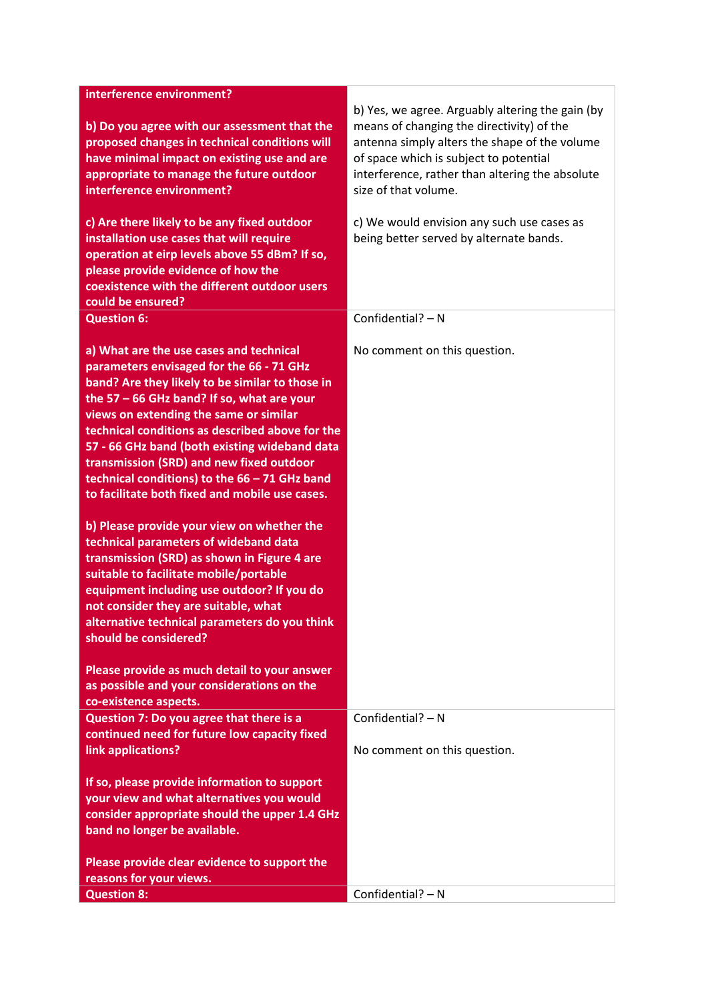| interference environment?                                                                                                                                                                                                                                                                                                                                                                                                                                                                                                                                                                                                                                                                                                                                                                                                           |                                                                                                                                                                                                                                                                     |
|-------------------------------------------------------------------------------------------------------------------------------------------------------------------------------------------------------------------------------------------------------------------------------------------------------------------------------------------------------------------------------------------------------------------------------------------------------------------------------------------------------------------------------------------------------------------------------------------------------------------------------------------------------------------------------------------------------------------------------------------------------------------------------------------------------------------------------------|---------------------------------------------------------------------------------------------------------------------------------------------------------------------------------------------------------------------------------------------------------------------|
| b) Do you agree with our assessment that the<br>proposed changes in technical conditions will<br>have minimal impact on existing use and are<br>appropriate to manage the future outdoor<br>interference environment?                                                                                                                                                                                                                                                                                                                                                                                                                                                                                                                                                                                                               | b) Yes, we agree. Arguably altering the gain (by<br>means of changing the directivity) of the<br>antenna simply alters the shape of the volume<br>of space which is subject to potential<br>interference, rather than altering the absolute<br>size of that volume. |
| c) Are there likely to be any fixed outdoor<br>installation use cases that will require<br>operation at eirp levels above 55 dBm? If so,<br>please provide evidence of how the<br>coexistence with the different outdoor users<br>could be ensured?                                                                                                                                                                                                                                                                                                                                                                                                                                                                                                                                                                                 | c) We would envision any such use cases as<br>being better served by alternate bands.                                                                                                                                                                               |
| <b>Question 6:</b>                                                                                                                                                                                                                                                                                                                                                                                                                                                                                                                                                                                                                                                                                                                                                                                                                  | Confidential? - N                                                                                                                                                                                                                                                   |
| a) What are the use cases and technical<br>parameters envisaged for the 66 - 71 GHz<br>band? Are they likely to be similar to those in<br>the $57 - 66$ GHz band? If so, what are your<br>views on extending the same or similar<br>technical conditions as described above for the<br>57 - 66 GHz band (both existing wideband data<br>transmission (SRD) and new fixed outdoor<br>technical conditions) to the 66 - 71 GHz band<br>to facilitate both fixed and mobile use cases.<br>b) Please provide your view on whether the<br>technical parameters of wideband data<br>transmission (SRD) as shown in Figure 4 are<br>suitable to facilitate mobile/portable<br>equipment including use outdoor? If you do<br>not consider they are suitable, what<br>alternative technical parameters do you think<br>should be considered? | No comment on this question.                                                                                                                                                                                                                                        |
| Please provide as much detail to your answer<br>as possible and your considerations on the<br>co-existence aspects.                                                                                                                                                                                                                                                                                                                                                                                                                                                                                                                                                                                                                                                                                                                 |                                                                                                                                                                                                                                                                     |
| Question 7: Do you agree that there is a                                                                                                                                                                                                                                                                                                                                                                                                                                                                                                                                                                                                                                                                                                                                                                                            | Confidential? - N                                                                                                                                                                                                                                                   |
| continued need for future low capacity fixed<br>link applications?                                                                                                                                                                                                                                                                                                                                                                                                                                                                                                                                                                                                                                                                                                                                                                  | No comment on this question.                                                                                                                                                                                                                                        |
| If so, please provide information to support<br>your view and what alternatives you would<br>consider appropriate should the upper 1.4 GHz<br>band no longer be available.<br>Please provide clear evidence to support the                                                                                                                                                                                                                                                                                                                                                                                                                                                                                                                                                                                                          |                                                                                                                                                                                                                                                                     |
| reasons for your views.                                                                                                                                                                                                                                                                                                                                                                                                                                                                                                                                                                                                                                                                                                                                                                                                             |                                                                                                                                                                                                                                                                     |
| <b>Question 8:</b>                                                                                                                                                                                                                                                                                                                                                                                                                                                                                                                                                                                                                                                                                                                                                                                                                  | Confidential? - N                                                                                                                                                                                                                                                   |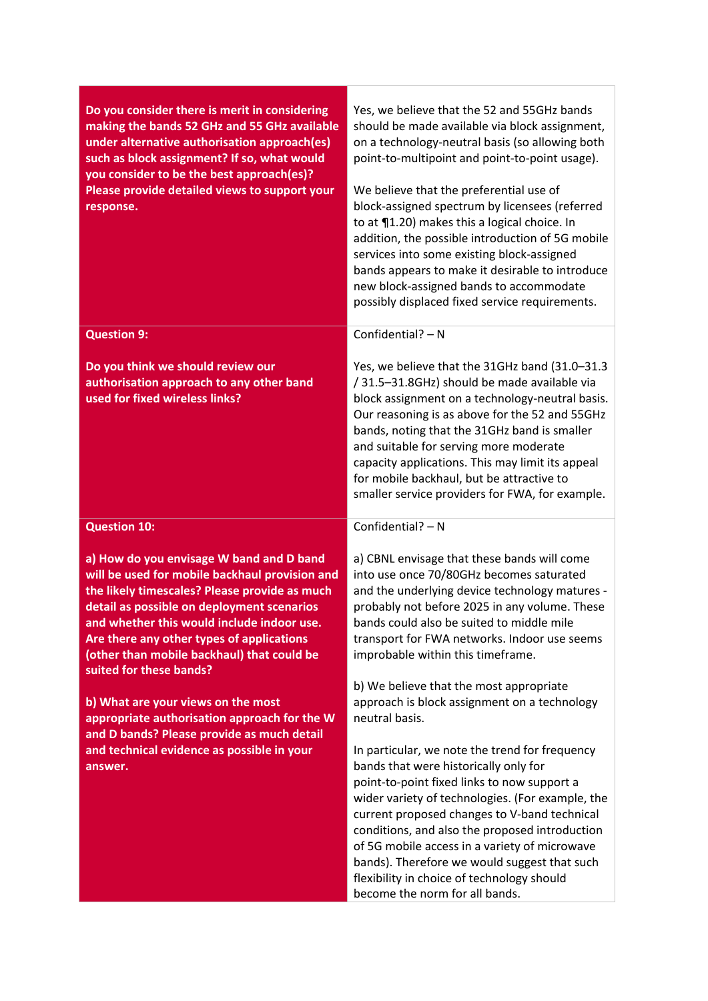| Do you consider there is merit in considering<br>making the bands 52 GHz and 55 GHz available<br>under alternative authorisation approach(es)<br>such as block assignment? If so, what would<br>you consider to be the best approach(es)?<br>Please provide detailed views to support your<br>response.                                                       | Yes, we believe that the 52 and 55GHz bands<br>should be made available via block assignment,<br>on a technology-neutral basis (so allowing both<br>point-to-multipoint and point-to-point usage).<br>We believe that the preferential use of<br>block-assigned spectrum by licensees (referred<br>to at 11.20) makes this a logical choice. In<br>addition, the possible introduction of 5G mobile<br>services into some existing block-assigned<br>bands appears to make it desirable to introduce<br>new block-assigned bands to accommodate<br>possibly displaced fixed service requirements. |
|---------------------------------------------------------------------------------------------------------------------------------------------------------------------------------------------------------------------------------------------------------------------------------------------------------------------------------------------------------------|---------------------------------------------------------------------------------------------------------------------------------------------------------------------------------------------------------------------------------------------------------------------------------------------------------------------------------------------------------------------------------------------------------------------------------------------------------------------------------------------------------------------------------------------------------------------------------------------------|
| <b>Question 9:</b>                                                                                                                                                                                                                                                                                                                                            | Confidential? $- N$                                                                                                                                                                                                                                                                                                                                                                                                                                                                                                                                                                               |
| Do you think we should review our<br>authorisation approach to any other band<br>used for fixed wireless links?                                                                                                                                                                                                                                               | Yes, we believe that the 31GHz band (31.0-31.3<br>/ 31.5-31.8GHz) should be made available via<br>block assignment on a technology-neutral basis.<br>Our reasoning is as above for the 52 and 55GHz<br>bands, noting that the 31GHz band is smaller<br>and suitable for serving more moderate<br>capacity applications. This may limit its appeal<br>for mobile backhaul, but be attractive to<br>smaller service providers for FWA, for example.                                                                                                                                                 |
| <b>Question 10:</b>                                                                                                                                                                                                                                                                                                                                           | Confidential? - N                                                                                                                                                                                                                                                                                                                                                                                                                                                                                                                                                                                 |
| a) How do you envisage W band and D band<br>will be used for mobile backhaul provision and<br>the likely timescales? Please provide as much<br>detail as possible on deployment scenarios<br>and whether this would include indoor use.<br>Are there any other types of applications<br>(other than mobile backhaul) that could be<br>suited for these bands? | a) CBNL envisage that these bands will come<br>into use once 70/80GHz becomes saturated<br>and the underlying device technology matures -<br>probably not before 2025 in any volume. These<br>bands could also be suited to middle mile<br>transport for FWA networks. Indoor use seems<br>improbable within this timeframe.                                                                                                                                                                                                                                                                      |
| b) What are your views on the most<br>appropriate authorisation approach for the W                                                                                                                                                                                                                                                                            | b) We believe that the most appropriate<br>approach is block assignment on a technology<br>neutral basis.                                                                                                                                                                                                                                                                                                                                                                                                                                                                                         |
| and D bands? Please provide as much detail<br>and technical evidence as possible in your<br>answer.                                                                                                                                                                                                                                                           | In particular, we note the trend for frequency<br>bands that were historically only for<br>point-to-point fixed links to now support a<br>wider variety of technologies. (For example, the<br>current proposed changes to V-band technical<br>conditions, and also the proposed introduction<br>of 5G mobile access in a variety of microwave<br>bands). Therefore we would suggest that such<br>flexibility in choice of technology should<br>become the norm for all bands.                                                                                                                     |